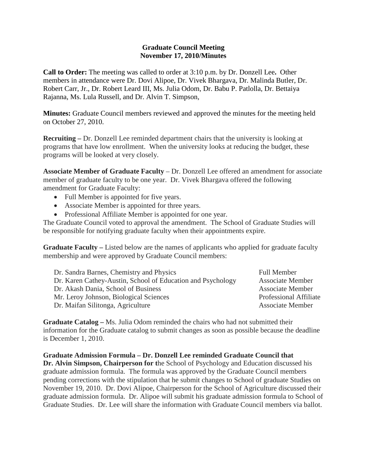## **Graduate Council Meeting November 17, 2010/Minutes**

**Call to Order:** The meeting was called to order at 3:10 p.m. by Dr. Donzell Lee**.** Other members in attendance were Dr. Dovi Alipoe, Dr. Vivek Bhargava, Dr. Malinda Butler, Dr. Robert Carr, Jr., Dr. Robert Leard III, Ms. Julia Odom, Dr. Babu P. Patlolla, Dr. Bettaiya Rajanna, Ms. Lula Russell, and Dr. Alvin T. Simpson,

**Minutes:** Graduate Council members reviewed and approved the minutes for the meeting held on October 27, 2010.

**Recruiting –** Dr. Donzell Lee reminded department chairs that the university is looking at programs that have low enrollment. When the university looks at reducing the budget, these programs will be looked at very closely.

**Associate Member of Graduate Faculty** – Dr. Donzell Lee offered an amendment for associate member of graduate faculty to be one year. Dr. Vivek Bhargava offered the following amendment for Graduate Faculty:

- Full Member is appointed for five years.
- Associate Member is appointed for three years.
- Professional Affiliate Member is appointed for one year.

The Graduate Council voted to approval the amendment. The School of Graduate Studies will be responsible for notifying graduate faculty when their appointments expire.

**Graduate Faculty –** Listed below are the names of applicants who applied for graduate faculty membership and were approved by Graduate Council members:

| Dr. Sandra Barnes, Chemistry and Physics                    | <b>Full Member</b>            |
|-------------------------------------------------------------|-------------------------------|
| Dr. Karen Cathey-Austin, School of Education and Psychology | <b>Associate Member</b>       |
| Dr. Akash Dania, School of Business                         | <b>Associate Member</b>       |
| Mr. Leroy Johnson, Biological Sciences                      | <b>Professional Affiliate</b> |
| Dr. Maifan Silitonga, Agriculture                           | <b>Associate Member</b>       |

**Graduate Catalog –** Ms. Julia Odom reminded the chairs who had not submitted their information for the Graduate catalog to submit changes as soon as possible because the deadline is December 1, 2010.

**Graduate Admission Formula – Dr. Donzell Lee reminded Graduate Council that Dr. Alvin Simpson, Chairperson for t**he School of Psychology and Education discussed his graduate admission formula. The formula was approved by the Graduate Council members pending corrections with the stipulation that he submit changes to School of graduate Studies on November 19, 2010. Dr. Dovi Alipoe, Chairperson for the School of Agriculture discussed their graduate admission formula. Dr. Alipoe will submit his graduate admission formula to School of Graduate Studies. Dr. Lee will share the information with Graduate Council members via ballot.